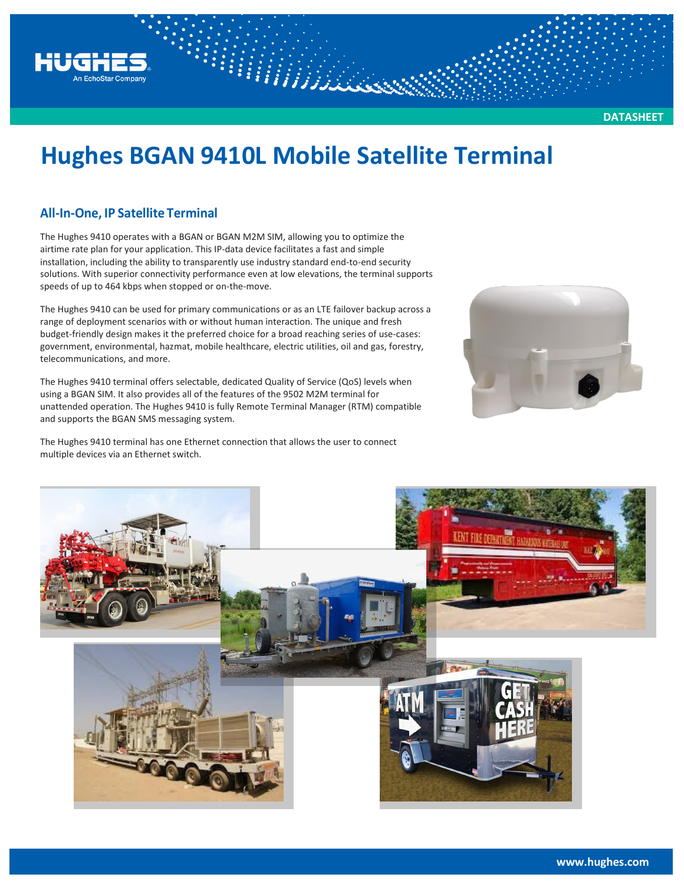# **Hughes BGAN 9410L Mobile Satellite Terminal**

WWW.

### **All-In-One, IP Satellite Terminal**

HUGH

n EchoStar Compa

The Hughes 9410 operates with a BGAN or BGAN M2M SIM, allowing you to optimize the airtime rate plan for your application. This IP-data device facilitates a fast and simple installation, including the ability to transparently use industry standard end-to-end security solutions. With superior connectivity performance even at low elevations, the terminal supports speeds of up to 464 kbps when stopped or on-the-move.

The Hughes 9410 can be used for primary communications or as an LTE failover backup across a range of deployment scenarios with or without human interaction. The unique and fresh budget-friendly design makes it the preferred choice for a broad reaching series of use-cases: government, environmental, hazmat, mobile healthcare, electric utilities, oil and gas, forestry, telecommunications, and more.

The Hughes 9410 terminal offers selectable, dedicated Quality of Service (QoS) levels when using a BGAN SIM. It also provides all of the features of the 9502 M2M terminal for unattended operation. The Hughes 9410 is fully Remote Terminal Manager (RTM) compatible and supports the BGAN SMS messaging system.

The Hughes 9410 terminal has one Ethernet connection that allows the user to connect multiple devices via an Ethernet switch.



**DATASHEET**